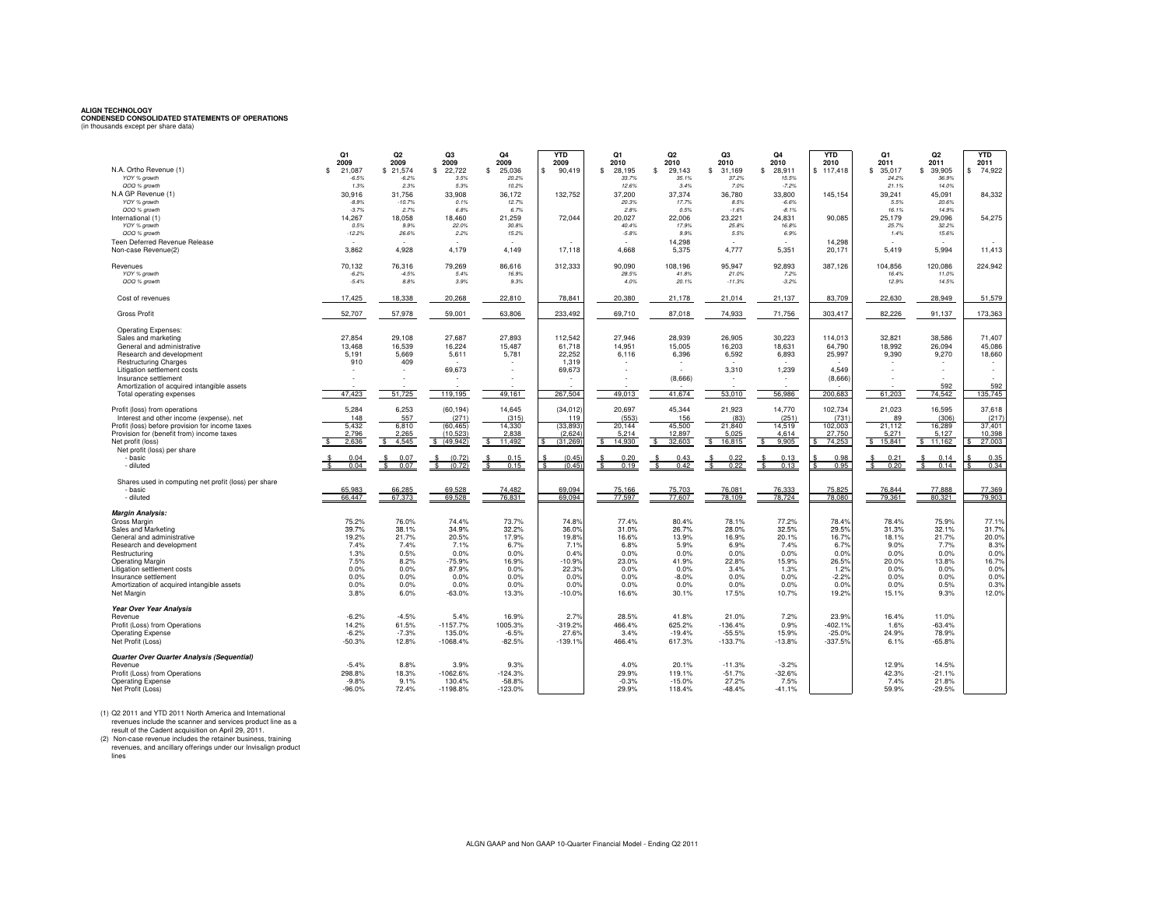**ALIGN TECHNOLOGY CONDENSED CONSOLIDATED STATEMENTS OF OPERATIONS** (in thousands except per share data)

|                                                       | Q1<br>2009         | Q2<br>2009       | Q <sub>3</sub><br>2009 | Q <sub>4</sub><br>2009 | <b>YTD</b><br>2009 | Q1<br>2010     | Q2<br>2010     | Q3<br>2010      | Q4<br>2010         | <b>YTD</b><br>2010 | Q1<br>2011     | Q2<br>2011     | <b>YTD</b><br>2011 |
|-------------------------------------------------------|--------------------|------------------|------------------------|------------------------|--------------------|----------------|----------------|-----------------|--------------------|--------------------|----------------|----------------|--------------------|
| N.A. Ortho Revenue (1)                                | 21,087<br>£.       | \$21,574         | s.<br>22,722           | \$<br>25,036           | \$<br>90,419       | \$<br>28,195   | 29,143<br>\$   | 31,169<br>\$    | \$<br>28,911       | \$117,418          | \$<br>35,017   | \$39,905       | 74,922<br>s        |
| YOY % growth                                          | $-6.5%$            | $-6.2%$          | 3.5%                   | 20.2%                  |                    | 33.7%          | 35.1%          | 37.2%           | 15.5%              |                    | 24.2%          | 36.9%          |                    |
| QOQ % growth                                          | 1.3%               | 2.3%             | 5.3%                   | 10.2%                  |                    | 12.6%          | 3.4%           | 7.0%            | $-7.2%$            |                    | 21.1%          | 14.0%          |                    |
| N.A GP Revenue (1)                                    | 30,916             | 31,756           | 33,908                 | 36,172                 | 132,752            | 37,200         | 37,374         | 36,780          | 33,800             | 145,154            | 39,241         | 45,091         | 84,332             |
| YOY % growth<br>QOQ % growth                          | $-8.9%$<br>$-3.7%$ | $-10.7%$<br>2.7% | 0.1%<br>6.8%           | 12.7%<br>6.7%          |                    | 20.3%<br>2.8%  | 17.7%<br>0.5%  | 8.5%<br>$-1.6%$ | $-6.6%$<br>$-8.1%$ |                    | 5.5%<br>16.1%  | 20.6%<br>14.9% |                    |
| International (1)                                     | 14,267             | 18,058           | 18,460                 | 21,259                 | 72,044             | 20,027         | 22,006         | 23,221          | 24,831             | 90,085             | 25,179         | 29,096         | 54,275             |
| YOY % growth                                          | 0.5%               | 9.9%             | 22.0%                  | 30.8%                  |                    | 40.4%          | 17.9%          | 25.8%           | 16.8%              |                    | 25.7%          | 32.2%          |                    |
| QOQ % growth                                          | $-12.2%$           | 26.6%            | 2.2%                   | 15.2%                  |                    | $-5.8%$        | 9.9%           | 5.5%            | 6.9%               |                    | 1.4%           | 15.6%          |                    |
| <b>Teen Deferred Revenue Release</b>                  |                    |                  |                        |                        |                    |                | 14,298         |                 |                    | 14,298             |                |                |                    |
| Non-case Revenue(2)                                   | 3.862              | 4.928            | 4.179                  | 4.149                  | 17.118             | 4.668          | 5.375          | 4.777           | 5.351              | 20.171             | 5.419          | 5.994          | 11,413             |
|                                                       | 70.132             | 76.316           | 79.269                 | 86.616                 | 312.333            | 90.090         | 108.196        | 95.947          | 92.893             | 387.126            | 104.856        | 120.086        | 224.942            |
| Revenues<br>YOY % growth                              | $-6.2%$            | $-4.5%$          | 5.4%                   | 16.9%                  |                    | 28.5%          | 41.8%          | 21.0%           | 7.2%               |                    | 16.4%          | 11.0%          |                    |
| QOQ % growth                                          | $-5.4%$            | 8.8%             | 3.9%                   | 9.3%                   |                    | 4.0%           | 20.1%          | $-11.3%$        | $-3.2%$            |                    | 12.9%          | 14.5%          |                    |
|                                                       |                    |                  |                        |                        |                    |                |                |                 |                    |                    |                |                |                    |
| Cost of revenues                                      | 17,425             | 18,338           | 20,268                 | 22,810                 | 78,841             | 20,380         | 21,178         | 21,014          | 21,137             | 83,709             | 22,630         | 28,949         | 51,579             |
|                                                       |                    |                  |                        |                        |                    |                |                |                 |                    |                    |                |                |                    |
| <b>Gross Profit</b>                                   | 52,707             | 57,978           | 59,001                 | 63,806                 | 233,492            | 69,710         | 87,018         | 74,933          | 71,756             | 303,417            | 82,226         | 91,137         | 173,363            |
| <b>Operating Expenses:</b>                            |                    |                  |                        |                        |                    |                |                |                 |                    |                    |                |                |                    |
| Sales and marketing                                   | 27,854             | 29.108           | 27.687                 | 27,893                 | 112,542            | 27.946         | 28.939         | 26,905          | 30.223             | 114.013            | 32,821         | 38,586         | 71,407             |
| General and administrative                            | 13.468             | 16.539           | 16.224                 | 15.487                 | 61.718             | 14.951         | 15.005         | 16,203          | 18.631             | 64.790             | 18.992         | 26,094         | 45,086             |
| Research and development                              | 5,191              | 5,669            | 5,611                  | 5,781                  | 22,252             | 6,116          | 6,396          | 6,592           | 6,893              | 25,997             | 9,390          | 9,270          | 18,660             |
| <b>Restructuring Charges</b>                          | 910                | 409              |                        |                        | 1,319              |                |                |                 |                    |                    |                |                |                    |
| Litigation settlement costs                           |                    |                  | 69,673                 |                        | 69,673             |                | $\sim$         | 3,310           | 1,239              | 4.549              |                |                |                    |
| Insurance settlement                                  |                    |                  |                        |                        |                    |                | (8,666)        |                 | ÷.                 | (8,666)            |                |                |                    |
| Amortization of acquired intangible assets            |                    |                  |                        |                        |                    |                |                |                 |                    |                    |                | 592            | 592                |
| Total operating expenses                              | 47,423             | 51,725           | 119,195                | 49.161                 | 267,504            | 49.013         | 41.674         | 53,010          | 56,986             | 200.683            | 61,203         | 74.542         | 135,745            |
| Profit (loss) from operations                         | 5,284              | 6,253            | (60, 194)              | 14.645                 | (34, 012)          | 20.697         | 45.344         | 21,923          | 14,770             | 102,734            | 21,023         | 16.595         | 37,618             |
| Interest and other income (expense), net              | 148                | 557              | (271)                  | (315)                  | 119                | (553)          | 156            | (83)            | (251)              | (731               | 89             | (306)          | (217)              |
| Profit (loss) before provision for income taxes       | 5,432              | 6,810            | (60, 465)              | 14,330                 | (33, 893)          | 20,144         | 45,500         | 21,840          | 14,519             | 102,003            | 21,112         | 16,289         | 37,401             |
| Provision for (benefit from) income taxes             | 2,796              | 2.265            | (10.523)               | 2.838                  | (2,624)            | 5.214          | 12.897         | 5.025           | 4.614              | 27.750             | 5.271          | 5.127          | 10,398             |
| Net profit (loss)                                     | 2,636              | \$<br>4,545      | \$ (49,942)            | \$<br>11,492           | (31, 269)<br>s     | 14,930<br>\$   | 32,603<br>\$   | 16,815<br>\$.   | \$<br>9,905        | 74,253             | \$15,841       | \$11,162       | 27,003             |
| Net profit (loss) per share                           |                    |                  |                        |                        |                    |                |                |                 |                    |                    |                |                |                    |
| - basic                                               | 0.04               | 0.07             | (0.72)<br>\$.          | 0.15                   | (0.45)             | 0.20           | 0.43           |                 | 0.13               | 0.98               | 0.21           | 0.14           | 0.35               |
| - diluted                                             | 0.04               | \$<br>0.07       | (0.72)                 | 0.15                   | (0.45)             | \$<br>0.19     | 0.42           | 0.22            | 0.13               | 0.95               | s<br>0.20      | \$.<br>0.14    | 0.34               |
| Shares used in computing net profit (loss) per share  |                    |                  |                        |                        |                    |                |                |                 |                    |                    |                |                |                    |
| - basic                                               | 65,983             | 66,285           | 69,528                 | 74,482                 | 69,094             | 75,166         | 75,703         | 76,081          | 76,333             | 75,825             | 76.844         | 77,888         | 77,369             |
| - diluted                                             | 66,447             | 67,373           | 69.528                 | 76,831                 | 69,094             | 77,597         | 77,607         | 78.109          | 78,724             | 78,080             | 79,361         | 80,321         | 79,903             |
|                                                       |                    |                  |                        |                        |                    |                |                |                 |                    |                    |                |                |                    |
| <b>Margin Analysis:</b>                               |                    |                  |                        |                        |                    |                |                |                 |                    |                    |                |                |                    |
| Gross Margin                                          | 75.2%<br>39.7%     | 76.0%<br>38.1%   | 74.4%<br>34.9%         | 73.7%<br>32.2%         | 74.8%<br>36.0%     | 77.4%<br>31.0% | 80.4%<br>26.7% | 78.1%<br>28.0%  | 77.2%<br>32.5%     | 78.4%<br>29.5%     | 78.4%<br>31.3% | 75.9%<br>32.1% | 77.1%<br>31.7%     |
| Sales and Marketing<br>General and administrative     | 19.2%              | 21.7%            | 20.5%                  | 17.9%                  | 19.8%              | 16.6%          | 13.9%          | 16.9%           | 20.1%              | 16.7%              | 18.1%          | 21.7%          | 20.0%              |
| Research and development                              | 7.4%               | 7.4%             | 7.1%                   | 6.7%                   | 7.1%               | 6.8%           | 5.9%           | 6.9%            | 7.4%               | 6.7%               | 9.0%           | 7.7%           | 8.3%               |
| Restructuring                                         | 1.3%               | 0.5%             | 0.0%                   | 0.0%                   | 0.4%               | 0.0%           | 0.0%           | 0.0%            | 0.0%               | 0.0%               | 0.0%           | 0.0%           | 0.0%               |
| <b>Operating Margin</b>                               | 7.5%               | 8.2%             | $-75.9%$               | 16.9%                  | $-10.9%$           | 23.0%          | 41.9%          | 22.8%           | 15.9%              | 26.5%              | 20.0%          | 13.8%          | 16.7%              |
| Litigation settlement costs                           | 0.0%               | 0.0%             | 87.9%                  | 0.0%                   | 22.3%              | 0.0%           | 0.0%           | 3.4%            | 1.3%               | 1.2%               | 0.0%           | 0.0%           | 0.0%               |
| Insurance settlement                                  | 0.0%               | 0.0%             | 0.0%                   | 0.0%                   | 0.0%               | 0.0%           | $-8.0%$        | 0.0%            | 0.0%               | $-2.2%$            | 0.0%           | 0.0%           | 0.0%               |
| Amortization of acquired intangible assets            | 0.0%               | 0.0%             | 0.0%                   | 0.0%                   | 0.0%<br>$-10.0%$   | 0.0%<br>16.6%  | 0.0%           | 0.0%<br>17.5%   | 0.0%<br>10.7%      | 0.0%<br>19.2%      | 0.0%           | 0.5%<br>9.3%   | 0.3%<br>12.0%      |
| Net Margin                                            | 3.8%               | 6.0%             | $-63.0%$               | 13.3%                  |                    |                | 30.1%          |                 |                    |                    | 15.1%          |                |                    |
| <b>Year Over Year Analysis</b>                        |                    |                  |                        |                        |                    |                |                |                 |                    |                    |                |                |                    |
| Revenue                                               | $-6.2%$            | $-4.5%$          | 5.4%                   | 16.9%                  | 2.7%               | 28.5%          | 41.8%          | 21.0%           | 7.2%               | 23.9%              | 16.4%          | 11.0%          |                    |
| Profit (Loss) from Operations                         | 14.2%              | 61.5%            | $-1157.7%$             | 1005.3%                | $-319.2%$          | 466.4%         | 625.2%         | $-136.4%$       | 0.9%               | $-402.1%$          | 1.6%           | $-63.4%$       |                    |
| <b>Operating Expense</b>                              | $-6.2%$            | $-7.3%$          | 135.0%                 | $-6.5%$                | 27.6%              | 3.4%           | $-19.4%$       | $-55.5%$        | 15.9%              | $-25.0%$           | 24.9%          | 78.9%          |                    |
| Net Profit (Loss)                                     | $-50.3%$           | 12.8%            | $-1068.4%$             | $-82.5%$               | $-139.1%$          | 466.4%         | 617.3%         | $-133.7%$       | $-13.8%$           | $-337.5%$          | 6.1%           | $-65.8%$       |                    |
|                                                       |                    |                  |                        |                        |                    |                |                |                 |                    |                    |                |                |                    |
| Quarter Over Quarter Analysis (Sequential)<br>Revenue | $-5.4%$            | 8.8%             | 3.9%                   | 9.3%                   |                    | 4.0%           | 20.1%          | $-11.3%$        | $-3.2%$            |                    | 12.9%          | 14.5%          |                    |
| Profit (Loss) from Operations                         | 298.8%             | 18.3%            | $-1062.6%$             | $-124.3%$              |                    | 29.9%          | 119.1%         | $-51.7%$        | $-32.6%$           |                    | 42.3%          | $-21.1%$       |                    |
| <b>Operating Expense</b>                              | $-9.8%$            | 9.1%             | 130.4%                 | $-58.8%$               |                    | $-0.3%$        | $-15.0%$       | 27.2%           | 7.5%               |                    | 7.4%           | 21.8%          |                    |
| Net Profit (Loss)                                     | $-96.0%$           | 72.4%            | $-1198.8%$             | $-123.0%$              |                    | 29.9%          | 118.4%         | $-48.4%$        | $-41.1%$           |                    | 59.9%          | $-29.5%$       |                    |

(1) Q2 2011 and YTD 2011 North America and International<br>revenues include the scanner and services product line as a<br>result of the Cadent acquisition on April 29, 2011.<br>(2) Non-case revenue includes the retainer business,